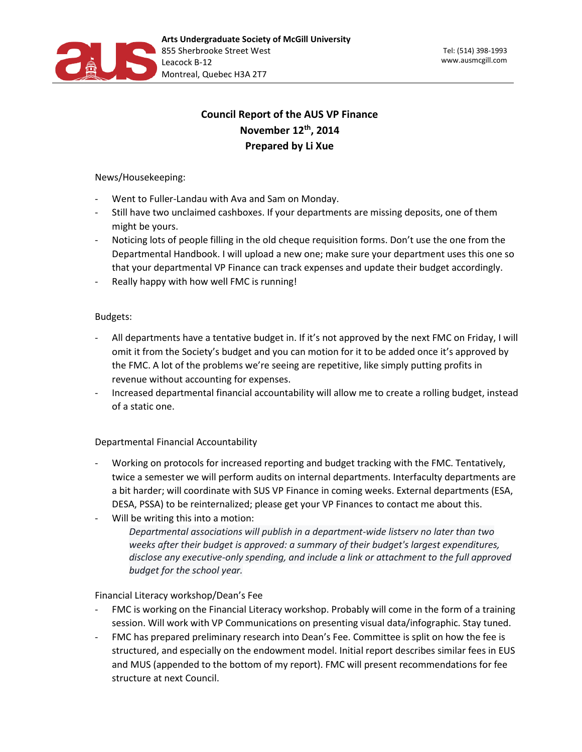

# **Council Report of the AUS VP Finance November 12th, 2014 Prepared by Li Xue**

News/Housekeeping:

- Went to Fuller-Landau with Ava and Sam on Monday.
- Still have two unclaimed cashboxes. If your departments are missing deposits, one of them might be yours.
- Noticing lots of people filling in the old cheque requisition forms. Don't use the one from the Departmental Handbook. I will upload a new one; make sure your department uses this one so that your departmental VP Finance can track expenses and update their budget accordingly.
- Really happy with how well FMC is running!

## Budgets:

- All departments have a tentative budget in. If it's not approved by the next FMC on Friday, I will omit it from the Society's budget and you can motion for it to be added once it's approved by the FMC. A lot of the problems we're seeing are repetitive, like simply putting profits in revenue without accounting for expenses.
- Increased departmental financial accountability will allow me to create a rolling budget, instead of a static one.

## Departmental Financial Accountability

- Working on protocols for increased reporting and budget tracking with the FMC. Tentatively, twice a semester we will perform audits on internal departments. Interfaculty departments are a bit harder; will coordinate with SUS VP Finance in coming weeks. External departments (ESA, DESA, PSSA) to be reinternalized; please get your VP Finances to contact me about this.
- Will be writing this into a motion:

*Departmental associations will publish in a department-wide listserv no later than two weeks after their budget is approved: a summary of their budget's largest expenditures, disclose any executive-only spending, and include a link or attachment to the full approved budget for the school year.*

### Financial Literacy workshop/Dean's Fee

- FMC is working on the Financial Literacy workshop. Probably will come in the form of a training session. Will work with VP Communications on presenting visual data/infographic. Stay tuned.
- FMC has prepared preliminary research into Dean's Fee. Committee is split on how the fee is structured, and especially on the endowment model. Initial report describes similar fees in EUS and MUS (appended to the bottom of my report). FMC will present recommendations for fee structure at next Council.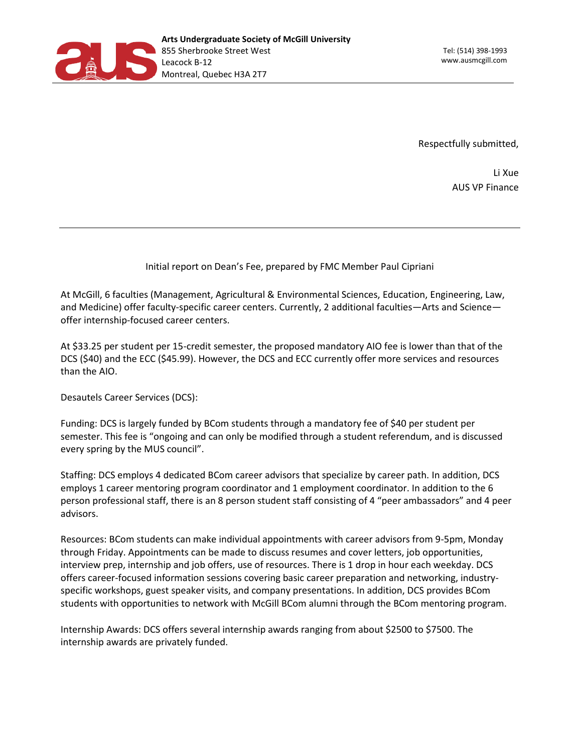

Respectfully submitted,

Li Xue AUS VP Finance

### Initial report on Dean's Fee, prepared by FMC Member Paul Cipriani

At McGill, 6 faculties (Management, Agricultural & Environmental Sciences, Education, Engineering, Law, and Medicine) offer faculty-specific career centers. Currently, 2 additional faculties—Arts and Science offer internship-focused career centers.

At \$33.25 per student per 15-credit semester, the proposed mandatory AIO fee is lower than that of the DCS (\$40) and the ECC (\$45.99). However, the DCS and ECC currently offer more services and resources than the AIO.

Desautels Career Services (DCS):

Funding: DCS is largely funded by BCom students through a mandatory fee of \$40 per student per semester. This fee is "ongoing and can only be modified through a student referendum, and is discussed every spring by the MUS council".

Staffing: DCS employs 4 dedicated BCom career advisors that specialize by career path. In addition, DCS employs 1 career mentoring program coordinator and 1 employment coordinator. In addition to the 6 person professional staff, there is an 8 person student staff consisting of 4 "peer ambassadors" and 4 peer advisors.

Resources: BCom students can make individual appointments with career advisors from 9-5pm, Monday through Friday. Appointments can be made to discuss resumes and cover letters, job opportunities, interview prep, internship and job offers, use of resources. There is 1 drop in hour each weekday. DCS offers career-focused information sessions covering basic career preparation and networking, industryspecific workshops, guest speaker visits, and company presentations. In addition, DCS provides BCom students with opportunities to network with McGill BCom alumni through the BCom mentoring program.

Internship Awards: DCS offers several internship awards ranging from about \$2500 to \$7500. The internship awards are privately funded.